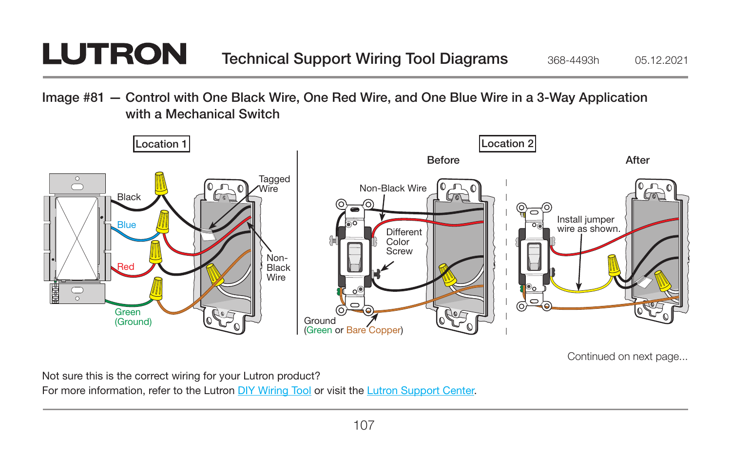## **LUTRON**

Image #81 — Control with One Black Wire, One Red Wire, and One Blue Wire in a 3-Way Application with a Mechanical Switch



Continued on next page...

Not sure this is the correct wiring for your Lutron product?

For more information, refer to the Lutron DIY Wiring Tool or visit the Lutron Support Center.